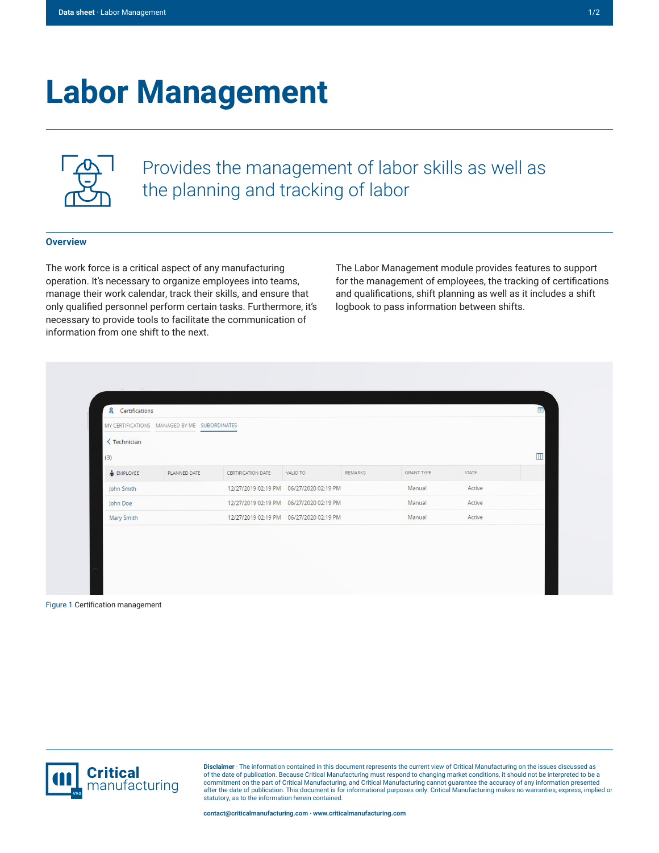## **Labor Management**



Provides the management of labor skills as well as the planning and tracking of labor

## **Overview**

The work force is a critical aspect of any manufacturing operation. It's necessary to organize employees into teams, manage their work calendar, track their skills, and ensure that only qualified personnel perform certain tasks. Furthermore, it's necessary to provide tools to facilitate the communication of information from one shift to the next.

The Labor Management module provides features to support for the management of employees, the tracking of certifications and qualifications, shift planning as well as it includes a shift logbook to pass information between shifts.

|                                    | MY CERTIFICATIONS MANAGED BY ME SUBORDINATES |                    |                                           |         |                   |        |   |
|------------------------------------|----------------------------------------------|--------------------|-------------------------------------------|---------|-------------------|--------|---|
| <technician<br>(3)</technician<br> |                                              |                    |                                           |         |                   |        | m |
| <b>MPLOYEE</b>                     | PLANNED DATE                                 | CERTIFICATION DATE | <b>VALID TO</b>                           | REMARKS | <b>GRANT TYPE</b> | STATE  |   |
| John Smith                         |                                              |                    | 12/27/2019 02:19 PM   06/27/2020 02:19 PM |         | Manual            | Active |   |
| John Doe                           |                                              |                    | 12/27/2019 02:19 PM   06/27/2020 02:19 PM |         | Manual            | Active |   |
| Mary Smith                         |                                              |                    | 12/27/2019 02:19 PM   06/27/2020 02:19 PM |         | Manual            | Active |   |
|                                    |                                              |                    |                                           |         |                   |        |   |

Figure 1 Certification management



**Disclaimer** · The information contained in this document represents the current view of Critical Manufacturing on the issues discussed as of the date of publication. Because Critical Manufacturing must respond to changing market conditions, it should not be interpreted to be a<br>commitment on the part of Critical Manufacturing, and Critical Manufacturing canno statutory, as to the information herein contained.